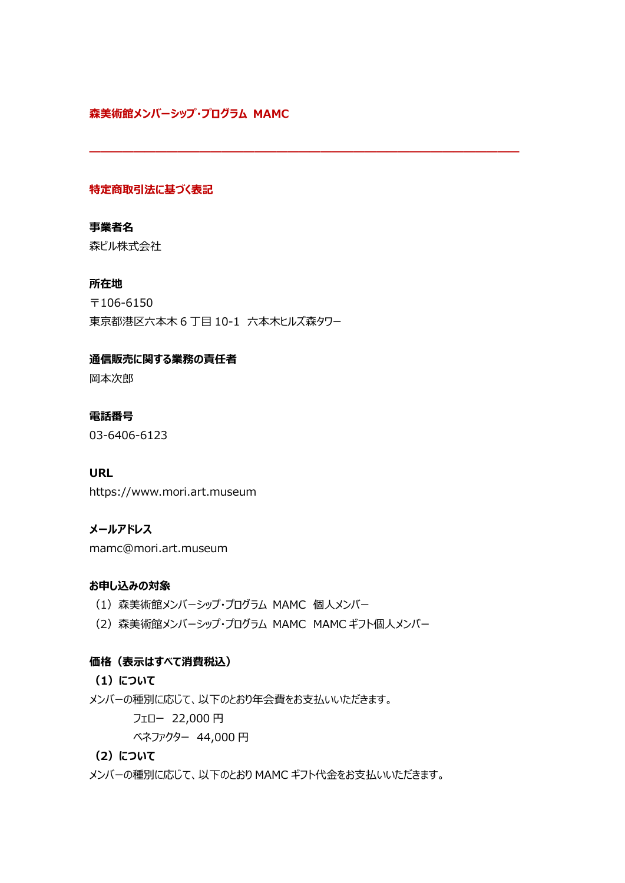### **森美術館メンバーシップ・プログラム MAMC**

### **特定商取引法に基づく表記**

# **事業者名**

森ビル株式会社

### **所在地**

〒106-6150 東京都港区六本木 6 丁目 10-1 六本木ヒルズ森タワー

**―――――――――――――――――――――――――――――――――――――――**

#### **通信販売に関する業務の責任者**

岡本次郎

#### **電話番号**

03-6406-6123

#### **URL**

https://www.mori.art.museum

#### **メールアドレス**

mamc@mori.art.museum

#### **お申し込みの対象**

- (1)森美術館メンバーシップ・プログラム MAMC 個人メンバー
- (2)森美術館メンバーシップ・プログラム MAMC MAMC ギフト個人メンバー

#### **価格(表示はすべて消費税込)**

- **(1)について**
- メンバーの種別に応じて、以下のとおり年会費をお支払いいただきます。

フェロー 22,000 円

ベネファクター 44,000 円

### **(2)について**

メンバーの種別に応じて、以下のとおり MAMC ギフト代金をお支払いいただきます。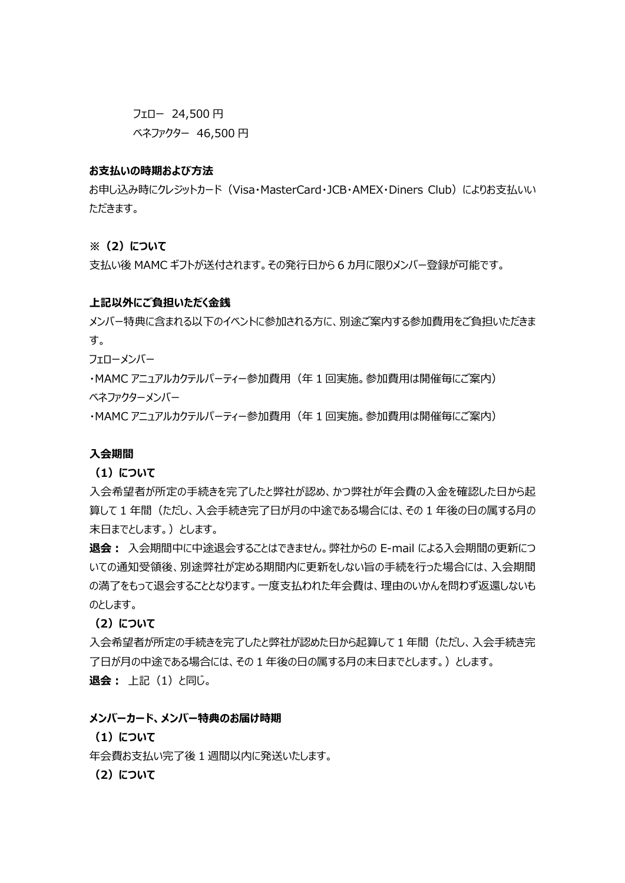フェロー 24,500 円

ベネファクター 46,500 円

#### **お支払いの時期および方法**

お申し込み時にクレジットカード(Visa・MasterCard・JCB・AMEX・Diners Club)によりお支払いい ただきます。

**※(2)について**

支払い後 MAMC ギフトが送付されます。その発行日から 6 カ月に限りメンバー登録が可能です。

#### **上記以外にご負担いただく金銭**

メンバー特典に含まれる以下のイベントに参加される方に、別途ご案内する参加費用をご負担いただきま す。

フェローメンバー

・MAMC アニュアルカクテルパーティー参加費用(年 1 回実施。参加費用は開催毎にご案内) ベネファクターメンバー

・MAMC アニュアルカクテルパーティー参加費用(年 1 回実施。参加費用は開催毎にご案内)

#### **入会期間**

**(1)について**

入会希望者が所定の手続きを完了したと弊社が認め、かつ弊社が年会費の入金を確認した日から起 算して 1 年間(ただし、入会手続き完了日が月の中途である場合には、その 1 年後の日の属する月の 末日までとします。)とします。

**退会︓** 入会期間中に中途退会することはできません。弊社からの E-mail による入会期間の更新につ いての通知受領後、別途弊社が定める期間内に更新をしない旨の手続を行った場合には、入会期間 の満了をもって退会することとなります。一度支払われた年会費は、理由のいかんを問わず返還しないも のとします。

**(2)について**

入会希望者が所定の手続きを完了したと弊社が認めた日から起算して 1 年間(ただし、入会手続き完 了日が月の中途である場合には、その 1 年後の日の属する月の末日までとします。)とします。 **退会: 上記 (1) と同じ。** 

#### **メンバーカード、メンバー特典のお届け時期**

**(1)について**

年会費お支払い完了後 1 週間以内に発送いたします。

**(2)について**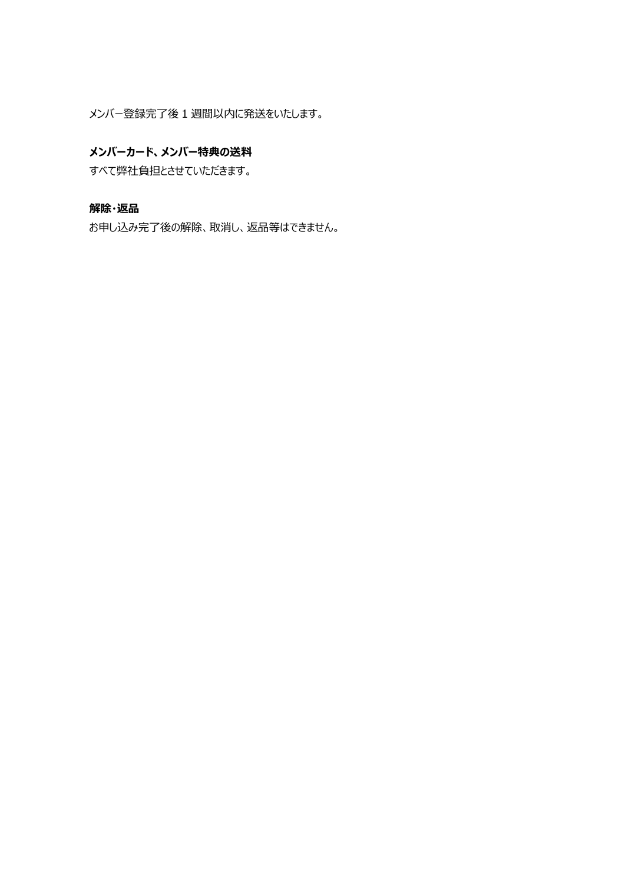メンバー登録完了後 1 週間以内に発送をいたします。

#### **メンバーカード、メンバー特典の送料**

すべて弊社負担とさせていただきます。

# **解除・返品**

お申し込み完了後の解除、取消し、返品等はできません。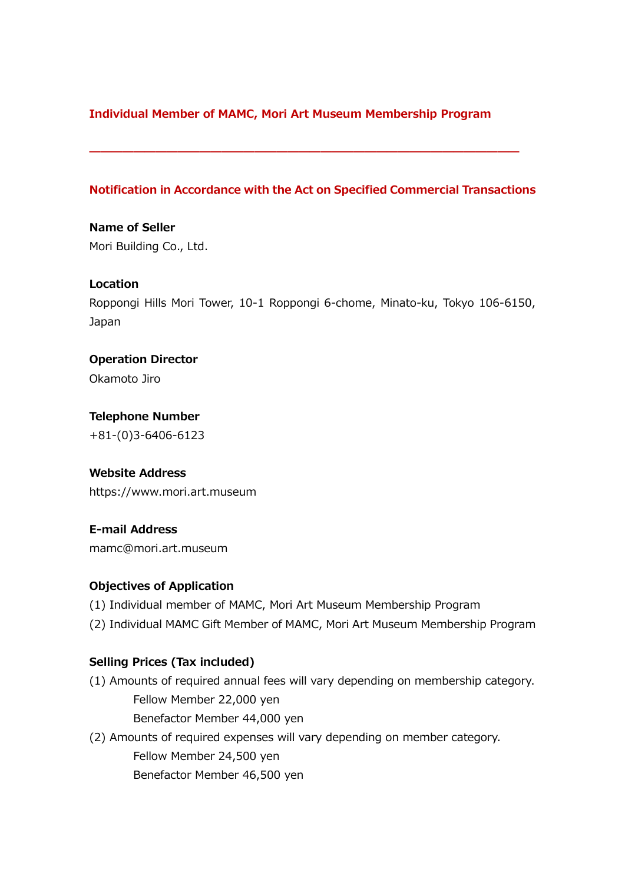# **Individual Member of MAMC, Mori Art Museum Membership Program**

### **Notification in Accordance with the Act on Specified Commercial Transactions**

**―――――――――――――――――――――――――――――――――――――――**

**Name of Seller** Mori Building Co., Ltd.

#### **Location**

Roppongi Hills Mori Tower, 10-1 Roppongi 6-chome, Minato-ku, Tokyo 106-6150, Japan

**Operation Director** Okamoto Jiro

**Telephone Number** +81-(0)3-6406-6123

#### **Website Address**

https://www.mori.art.museum

# **E-mail Address**

mamc@mori.art.museum

#### **Objectives of Application**

- (1) Individual member of MAMC, Mori Art Museum Membership Program
- (2) Individual MAMC Gift Member of MAMC, Mori Art Museum Membership Program

### **Selling Prices (Tax included)**

(1) Amounts of required annual fees will vary depending on membership category. Fellow Member 22,000 yen Benefactor Member 44,000 yen

(2) Amounts of required expenses will vary depending on member category. Fellow Member 24,500 yen Benefactor Member 46,500 yen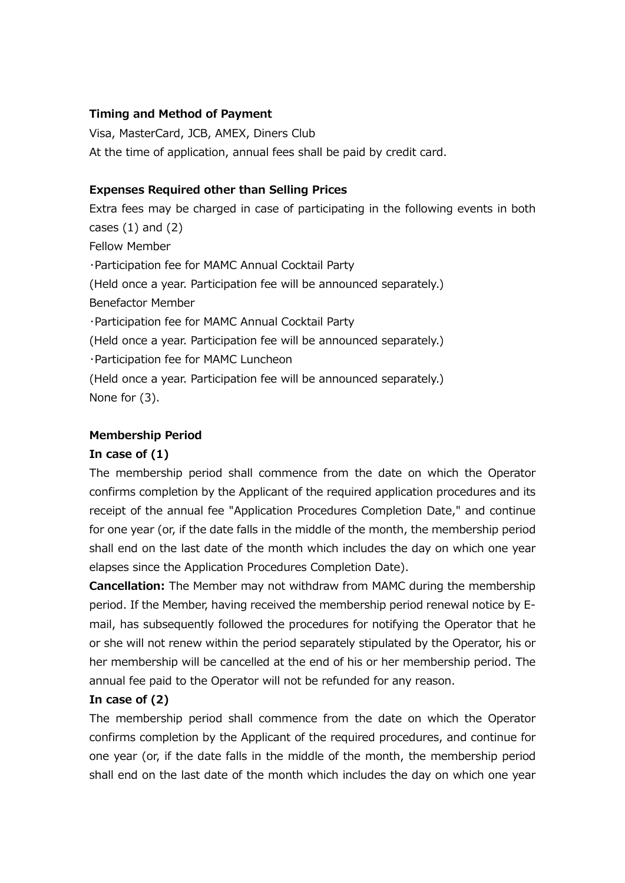### **Timing and Method of Payment**

Visa, MasterCard, JCB, AMEX, Diners Club At the time of application, annual fees shall be paid by credit card.

## **Expenses Required other than Selling Prices**

Extra fees may be charged in case of participating in the following events in both cases  $(1)$  and  $(2)$ Fellow Member ・Participation fee for MAMC Annual Cocktail Party (Held once a year. Participation fee will be announced separately.) Benefactor Member ・Participation fee for MAMC Annual Cocktail Party (Held once a year. Participation fee will be announced separately.) ・Participation fee for MAMC Luncheon (Held once a year. Participation fee will be announced separately.) None for (3).

### **Membership Period**

### **In case of (1)**

The membership period shall commence from the date on which the Operator confirms completion by the Applicant of the required application procedures and its receipt of the annual fee "Application Procedures Completion Date," and continue for one year (or, if the date falls in the middle of the month, the membership period shall end on the last date of the month which includes the day on which one year elapses since the Application Procedures Completion Date).

**Cancellation:** The Member may not withdraw from MAMC during the membership period. If the Member, having received the membership period renewal notice by Email, has subsequently followed the procedures for notifying the Operator that he or she will not renew within the period separately stipulated by the Operator, his or her membership will be cancelled at the end of his or her membership period. The annual fee paid to the Operator will not be refunded for any reason.

# **In case of (2)**

The membership period shall commence from the date on which the Operator confirms completion by the Applicant of the required procedures, and continue for one year (or, if the date falls in the middle of the month, the membership period shall end on the last date of the month which includes the day on which one year